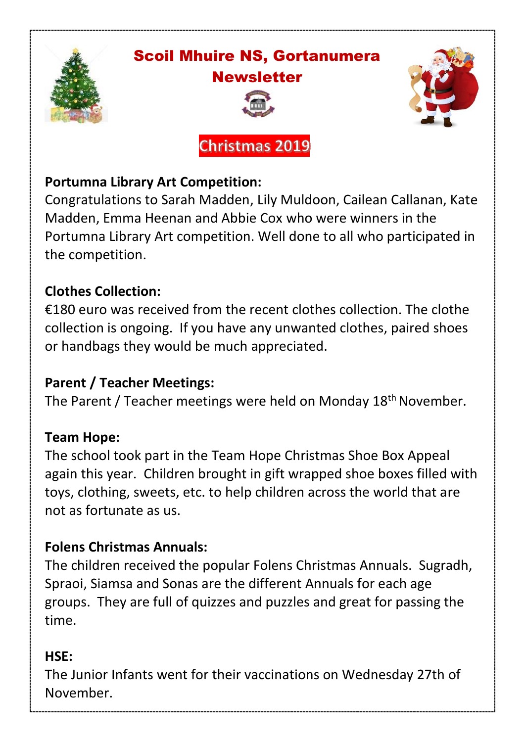

## Scoil Mhuire NS, Gortanumera **Newsletter**



**Christmas 2019** 



## **Portumna Library Art Competition:**

Congratulations to Sarah Madden, Lily Muldoon, Cailean Callanan, Kate Madden, Emma Heenan and Abbie Cox who were winners in the Portumna Library Art competition. Well done to all who participated in the competition.

## **Clothes Collection:**

€180 euro was received from the recent clothes collection. The clothe collection is ongoing. If you have any unwanted clothes, paired shoes or handbags they would be much appreciated.

## **Parent / Teacher Meetings:**

The Parent / Teacher meetings were held on Monday 18<sup>th</sup> November.

#### **Team Hope:**

The school took part in the Team Hope Christmas Shoe Box Appeal again this year. Children brought in gift wrapped shoe boxes filled with toys, clothing, sweets, etc. to help children across the world that are not as fortunate as us.

## **Folens Christmas Annuals:**

The children received the popular Folens Christmas Annuals. Sugradh, Spraoi, Siamsa and Sonas are the different Annuals for each age groups. They are full of quizzes and puzzles and great for passing the time.

#### **HSE:**

The Junior Infants went for their vaccinations on Wednesday 27th of November.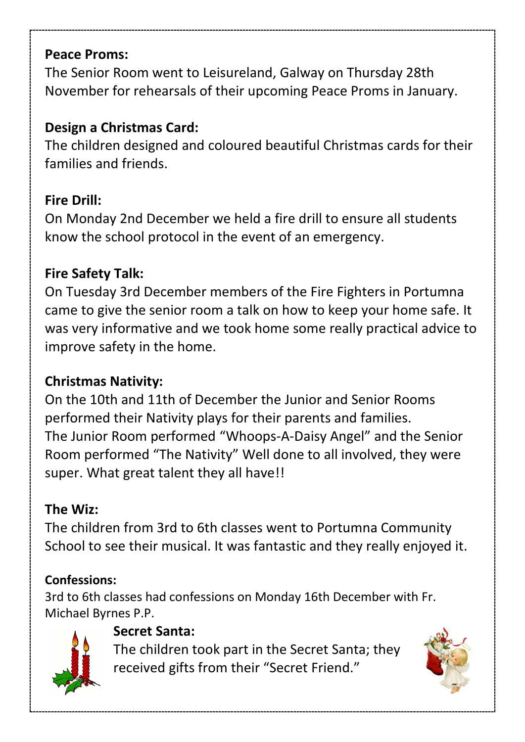#### **Peace Proms:**

The Senior Room went to Leisureland, Galway on Thursday 28th November for rehearsals of their upcoming Peace Proms in January.

## **Design a Christmas Card:**

The children designed and coloured beautiful Christmas cards for their families and friends.

## **Fire Drill:**

On Monday 2nd December we held a fire drill to ensure all students know the school protocol in the event of an emergency.

## **Fire Safety Talk:**

On Tuesday 3rd December members of the Fire Fighters in Portumna came to give the senior room a talk on how to keep your home safe. It was very informative and we took home some really practical advice to improve safety in the home.

## **Christmas Nativity:**

On the 10th and 11th of December the Junior and Senior Rooms performed their Nativity plays for their parents and families. The Junior Room performed "Whoops-A-Daisy Angel" and the Senior Room performed "The Nativity" Well done to all involved, they were super. What great talent they all have!!

## **The Wiz:**

The children from 3rd to 6th classes went to Portumna Community School to see their musical. It was fantastic and they really enjoyed it.

## **Confessions:**

3rd to 6th classes had confessions on Monday 16th December with Fr. Michael Byrnes P.P.



## **Secret Santa:**

The children took part in the Secret Santa; they received gifts from their "Secret Friend."

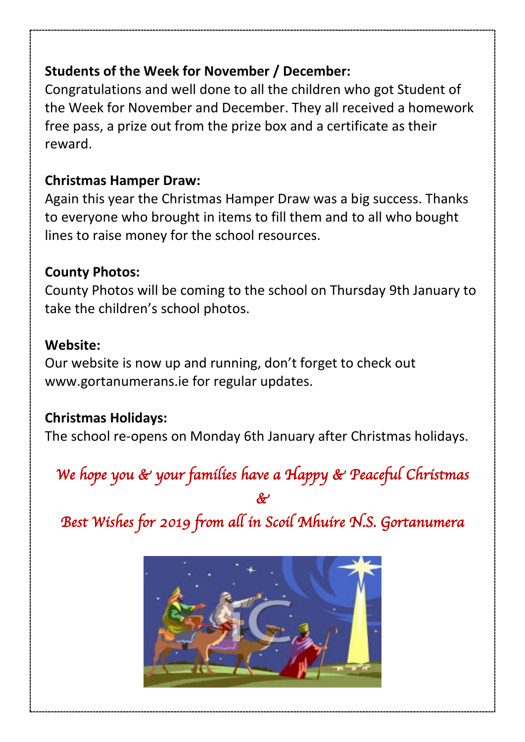## **Students of the Week for November / December:**

Congratulations and well done to all the children who got Student of the Week for November and December. They all received a homework free pass, a prize out from the prize box and a certificate as their reward.

## **Christmas Hamper Draw:**

Again this year the Christmas Hamper Draw was a big success. Thanks to everyone who brought in items to fill them and to all who bought lines to raise money for the school resources.

## **County Photos:**

County Photos will be coming to the school on Thursday 9th January to take the children's school photos.

## **Website:**

Our website is now up and running, don't forget to check out [www.gortanumerans.ie](http://www.gortanumerans.ie/) for regular updates.

## **Christmas Holidays:**

The school re-opens on Monday 6th January after Christmas holidays.

# *We hope you & your families have a Happy & Peaceful Christmas*

*&* 

*Best Wishes for 2019 from all in Scoil Mhuire N.S. Gortanumera*